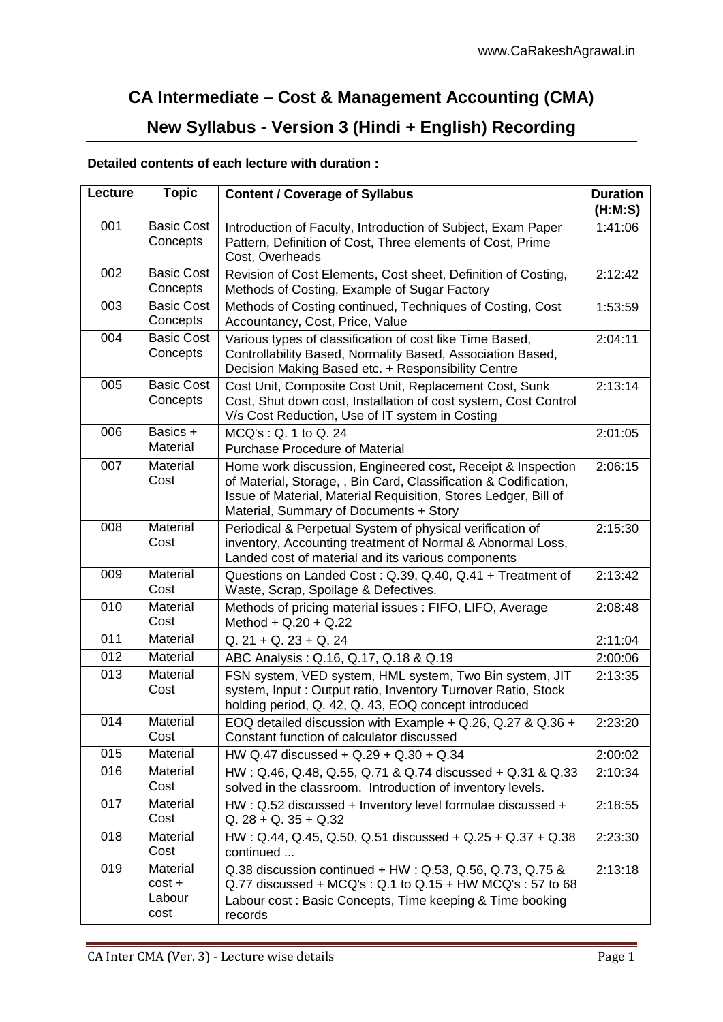## **CA Intermediate – Cost & Management Accounting (CMA) New Syllabus - Version 3 (Hindi + English) Recording**

## **Detailed contents of each lecture with duration :**

| Lecture | <b>Topic</b>                           | <b>Content / Coverage of Syllabus</b>                                                                                                                                                                                                        | <b>Duration</b><br>(H:M:S) |
|---------|----------------------------------------|----------------------------------------------------------------------------------------------------------------------------------------------------------------------------------------------------------------------------------------------|----------------------------|
| 001     | <b>Basic Cost</b><br>Concepts          | Introduction of Faculty, Introduction of Subject, Exam Paper<br>Pattern, Definition of Cost, Three elements of Cost, Prime<br>Cost, Overheads                                                                                                | 1:41:06                    |
| 002     | <b>Basic Cost</b><br>Concepts          | Revision of Cost Elements, Cost sheet, Definition of Costing,<br>Methods of Costing, Example of Sugar Factory                                                                                                                                | 2:12:42                    |
| 003     | <b>Basic Cost</b><br>Concepts          | Methods of Costing continued, Techniques of Costing, Cost<br>Accountancy, Cost, Price, Value                                                                                                                                                 | 1:53:59                    |
| 004     | <b>Basic Cost</b><br>Concepts          | Various types of classification of cost like Time Based,<br>Controllability Based, Normality Based, Association Based,<br>Decision Making Based etc. + Responsibility Centre                                                                 | 2:04:11                    |
| 005     | <b>Basic Cost</b><br>Concepts          | Cost Unit, Composite Cost Unit, Replacement Cost, Sunk<br>Cost, Shut down cost, Installation of cost system, Cost Control<br>V/s Cost Reduction, Use of IT system in Costing                                                                 | 2:13:14                    |
| 006     | Basics +<br>Material                   | MCQ's: Q. 1 to Q. 24<br><b>Purchase Procedure of Material</b>                                                                                                                                                                                | 2:01:05                    |
| 007     | Material<br>Cost                       | Home work discussion, Engineered cost, Receipt & Inspection<br>of Material, Storage, , Bin Card, Classification & Codification,<br>Issue of Material, Material Requisition, Stores Ledger, Bill of<br>Material, Summary of Documents + Story | 2:06:15                    |
| 008     | Material<br>Cost                       | Periodical & Perpetual System of physical verification of<br>inventory, Accounting treatment of Normal & Abnormal Loss,<br>Landed cost of material and its various components                                                                | 2:15:30                    |
| 009     | Material<br>Cost                       | Questions on Landed Cost: Q.39, Q.40, Q.41 + Treatment of<br>Waste, Scrap, Spoilage & Defectives.                                                                                                                                            | 2:13:42                    |
| 010     | Material<br>Cost                       | Methods of pricing material issues: FIFO, LIFO, Average<br>Method + $Q.20 + Q.22$                                                                                                                                                            | 2:08:48                    |
| 011     | Material                               | $Q. 21 + Q. 23 + Q. 24$                                                                                                                                                                                                                      | 2:11:04                    |
| 012     | Material                               | ABC Analysis: Q.16, Q.17, Q.18 & Q.19                                                                                                                                                                                                        | 2:00:06                    |
| 013     | Material<br>Cost                       | FSN system, VED system, HML system, Two Bin system, JIT<br>system, Input: Output ratio, Inventory Turnover Ratio, Stock<br>holding period, Q. 42, Q. 43, EOQ concept introduced                                                              | 2:13:35                    |
| 014     | Material<br>Cost                       | EOQ detailed discussion with Example + Q.26, Q.27 & Q.36 +<br>Constant function of calculator discussed                                                                                                                                      | 2:23:20                    |
| 015     | Material                               | HW Q.47 discussed + Q.29 + Q.30 + Q.34                                                                                                                                                                                                       | 2:00:02                    |
| 016     | Material<br>Cost                       | HW: Q.46, Q.48, Q.55, Q.71 & Q.74 discussed + Q.31 & Q.33<br>solved in the classroom. Introduction of inventory levels.                                                                                                                      | 2:10:34                    |
| 017     | Material<br>Cost                       | HW: Q.52 discussed + Inventory level formulae discussed +<br>$Q. 28 + Q. 35 + Q. 32$                                                                                                                                                         | 2:18:55                    |
| 018     | Material<br>Cost                       | HW: Q.44, Q.45, Q.50, Q.51 discussed + Q.25 + Q.37 + Q.38<br>continued                                                                                                                                                                       | 2:23:30                    |
| 019     | Material<br>$cost +$<br>Labour<br>cost | Q.38 discussion continued + HW: Q.53, Q.56, Q.73, Q.75 &<br>$Q.77$ discussed + MCQ's : $Q.1$ to $Q.15$ + HW MCQ's : 57 to 68<br>Labour cost: Basic Concepts, Time keeping & Time booking<br>records                                          | 2:13:18                    |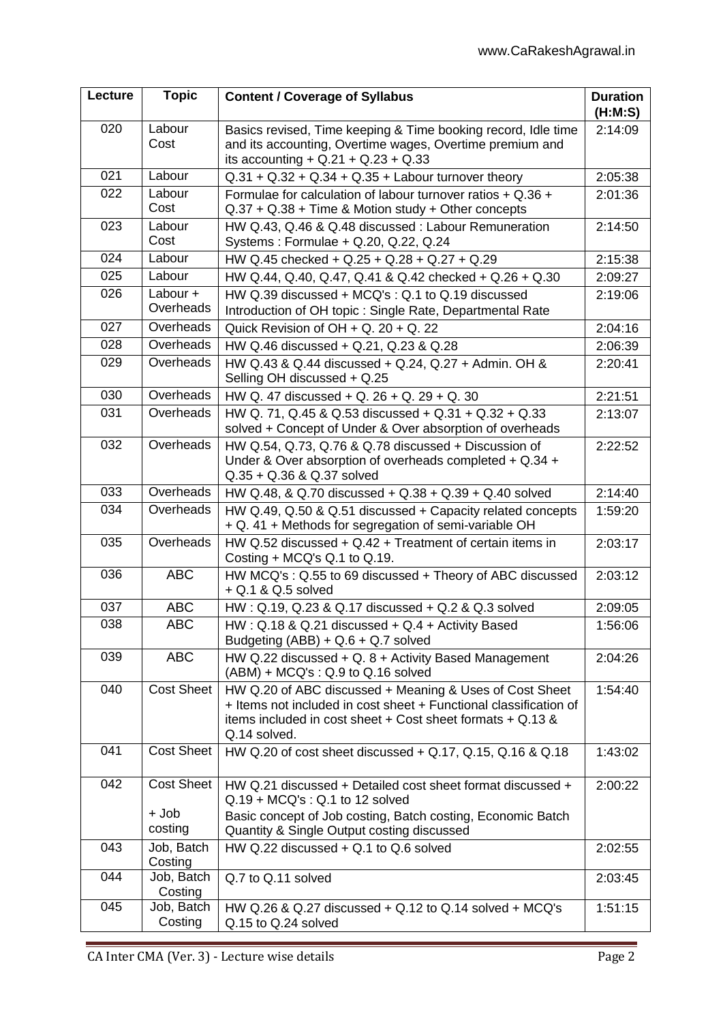| Lecture | <b>Topic</b>          | <b>Content / Coverage of Syllabus</b>                                                                                                                                                                          | <b>Duration</b><br>(H:M:S) |
|---------|-----------------------|----------------------------------------------------------------------------------------------------------------------------------------------------------------------------------------------------------------|----------------------------|
| 020     | Labour<br>Cost        | Basics revised, Time keeping & Time booking record, Idle time<br>and its accounting, Overtime wages, Overtime premium and<br>its accounting + $Q.21 + Q.23 + Q.33$                                             | 2:14:09                    |
| 021     | Labour                | $Q.31 + Q.32 + Q.34 + Q.35 +$ Labour turnover theory                                                                                                                                                           | 2:05:38                    |
| 022     | Labour<br>Cost        | Formulae for calculation of labour turnover ratios $+$ Q.36 $+$<br>$Q.37 + Q.38 + Time$ & Motion study + Other concepts                                                                                        | 2:01:36                    |
| 023     | Labour<br>Cost        | HW Q.43, Q.46 & Q.48 discussed : Labour Remuneration<br>Systems: Formulae + Q.20, Q.22, Q.24                                                                                                                   | 2:14:50                    |
| 024     | Labour                | HW Q.45 checked + Q.25 + Q.28 + Q.27 + Q.29                                                                                                                                                                    | 2:15:38                    |
| 025     | Labour                | HW Q.44, Q.40, Q.47, Q.41 & Q.42 checked + Q.26 + Q.30                                                                                                                                                         | 2:09:27                    |
| 026     | Labour +<br>Overheads | HW Q.39 discussed + MCQ's: Q.1 to Q.19 discussed<br>Introduction of OH topic: Single Rate, Departmental Rate                                                                                                   | 2:19:06                    |
| 027     | Overheads             | Quick Revision of $OH + Q$ . 20 + Q. 22                                                                                                                                                                        | 2:04:16                    |
| 028     | Overheads             | HW Q.46 discussed + Q.21, Q.23 & Q.28                                                                                                                                                                          | 2:06:39                    |
| 029     | Overheads             | HW Q.43 & Q.44 discussed + Q.24, Q.27 + Admin. OH &<br>Selling OH discussed + Q.25                                                                                                                             | 2:20:41                    |
| 030     | Overheads             | HW Q. 47 discussed + Q. 26 + Q. 29 + Q. 30                                                                                                                                                                     | 2:21:51                    |
| 031     | Overheads             | HW Q. 71, Q.45 & Q.53 discussed + Q.31 + Q.32 + Q.33<br>solved + Concept of Under & Over absorption of overheads                                                                                               | 2:13:07                    |
| 032     | Overheads             | HW Q.54, Q.73, Q.76 & Q.78 discussed + Discussion of<br>Under & Over absorption of overheads completed + Q.34 +<br>Q.35 + Q.36 & Q.37 solved                                                                   | 2:22:52                    |
| 033     | Overheads             | HW Q.48, & Q.70 discussed + Q.38 + Q.39 + Q.40 solved                                                                                                                                                          | 2:14:40                    |
| 034     | Overheads             | HW Q.49, Q.50 & Q.51 discussed + Capacity related concepts<br>+ Q. 41 + Methods for segregation of semi-variable OH                                                                                            | 1:59:20                    |
| 035     | Overheads             | HW Q.52 discussed $+$ Q.42 $+$ Treatment of certain items in<br>Costing $+$ MCQ's Q.1 to Q.19.                                                                                                                 | 2:03:17                    |
| 036     | <b>ABC</b>            | HW MCQ's: Q.55 to 69 discussed + Theory of ABC discussed<br>+ Q.1 & Q.5 solved                                                                                                                                 | 2:03:12                    |
| 037     | <b>ABC</b>            | HW: Q.19, Q.23 & Q.17 discussed + Q.2 & Q.3 solved                                                                                                                                                             | 2:09:05                    |
| 038     | <b>ABC</b>            | $HW: Q.18 \& Q.21$ discussed + $Q.4$ + Activity Based<br>Budgeting $(ABB) + Q.6 + Q.7$ solved                                                                                                                  | 1:56:06                    |
| 039     | <b>ABC</b>            | HW Q.22 discussed + Q. 8 + Activity Based Management<br>$(ABM) + MCQ's : Q.9$ to $Q.16$ solved                                                                                                                 | 2:04:26                    |
| 040     | <b>Cost Sheet</b>     | HW Q.20 of ABC discussed + Meaning & Uses of Cost Sheet<br>+ Items not included in cost sheet + Functional classification of<br>items included in cost sheet $+$ Cost sheet formats $+$ Q.13 &<br>Q.14 solved. | 1:54:40                    |
| 041     | <b>Cost Sheet</b>     | HW Q.20 of cost sheet discussed + Q.17, Q.15, Q.16 & Q.18                                                                                                                                                      | 1:43:02                    |
| 042     | <b>Cost Sheet</b>     | HW Q.21 discussed + Detailed cost sheet format discussed +<br>$Q.19 + M C Q's : Q.1$ to 12 solved                                                                                                              | 2:00:22                    |
|         | + Job<br>costing      | Basic concept of Job costing, Batch costing, Economic Batch<br>Quantity & Single Output costing discussed                                                                                                      |                            |
| 043     | Job, Batch<br>Costing | HW $Q.22$ discussed $+ Q.1$ to $Q.6$ solved                                                                                                                                                                    | 2:02:55                    |
| 044     | Job, Batch<br>Costing | Q.7 to Q.11 solved                                                                                                                                                                                             | 2:03:45                    |
| 045     | Job, Batch<br>Costing | HW Q.26 & Q.27 discussed + Q.12 to Q.14 solved + MCQ's<br>Q.15 to Q.24 solved                                                                                                                                  | 1:51:15                    |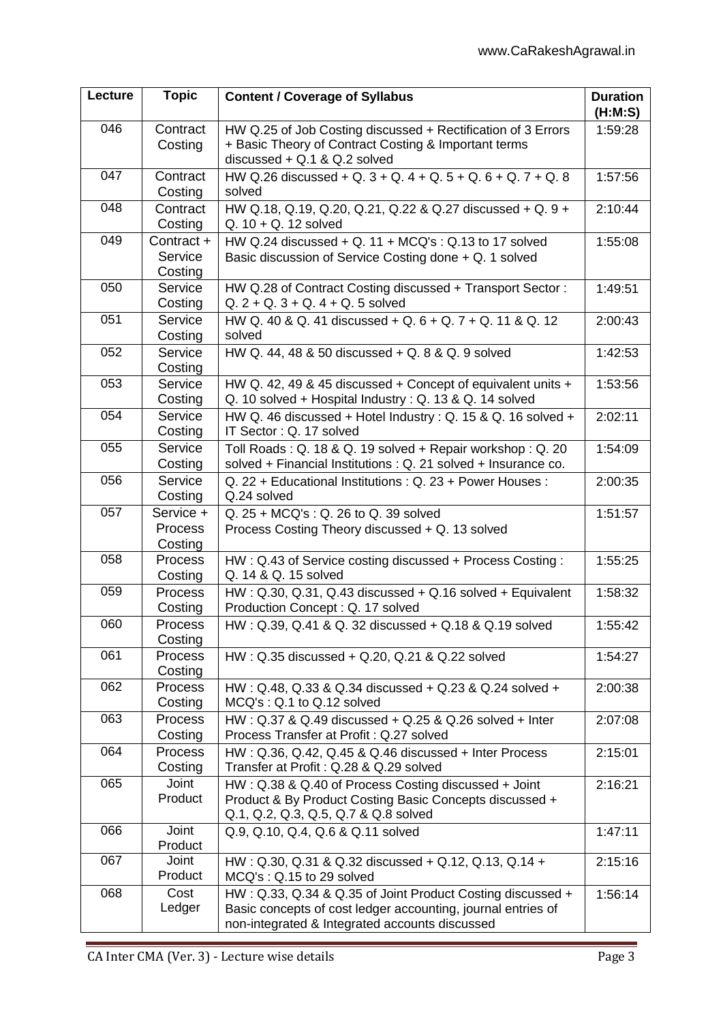| Lecture | <b>Topic</b>                           | <b>Content / Coverage of Syllabus</b>                                                                                                                                        | <b>Duration</b><br>(H:M:S) |
|---------|----------------------------------------|------------------------------------------------------------------------------------------------------------------------------------------------------------------------------|----------------------------|
| 046     | Contract<br>Costing                    | HW Q.25 of Job Costing discussed + Rectification of 3 Errors<br>+ Basic Theory of Contract Costing & Important terms<br>discussed $+$ Q.1 & Q.2 solved                       | 1:59:28                    |
| 047     | Contract<br>Costing                    | HW Q.26 discussed + Q. 3 + Q. 4 + Q. 5 + Q. 6 + Q. 7 + Q. 8<br>solved                                                                                                        | 1:57:56                    |
| 048     | Contract<br>Costing                    | HW Q.18, Q.19, Q.20, Q.21, Q.22 & Q.27 discussed + Q. 9 +<br>$Q. 10 + Q. 12$ solved                                                                                          | 2:10:44                    |
| 049     | Contract +                             | HW Q.24 discussed $+$ Q. 11 $+$ MCQ's : Q.13 to 17 solved                                                                                                                    | 1:55:08                    |
|         | Service<br>Costing                     | Basic discussion of Service Costing done + Q. 1 solved                                                                                                                       |                            |
| 050     | Service                                | HW Q.28 of Contract Costing discussed + Transport Sector:                                                                                                                    | 1:49:51                    |
|         | Costing                                | $Q. 2 + Q. 3 + Q. 4 + Q. 5$ solved                                                                                                                                           |                            |
| 051     | Service<br>Costing                     | HW Q. 40 & Q. 41 discussed + Q. 6 + Q. 7 + Q. 11 & Q. 12<br>solved                                                                                                           | 2:00:43                    |
| 052     | Service<br>Costing                     | HW Q. 44, 48 & 50 discussed + Q. 8 & Q. 9 solved                                                                                                                             | 1:42:53                    |
| 053     | Service<br>Costing                     | HW Q. 42, 49 & 45 discussed + Concept of equivalent units +<br>Q. 10 solved + Hospital Industry: Q. 13 & Q. 14 solved                                                        | 1:53:56                    |
| 054     | Service<br>Costing                     | HW Q. 46 discussed + Hotel Industry: Q. 15 & Q. 16 solved +<br>IT Sector: Q. 17 solved                                                                                       | 2:02:11                    |
| 055     | Service<br>Costing                     | Toll Roads: Q. 18 & Q. 19 solved + Repair workshop: Q. 20<br>solved + Financial Institutions : Q. 21 solved + Insurance co.                                                  | 1:54:09                    |
| 056     | Service<br>Costing                     | Q. 22 + Educational Institutions: Q. 23 + Power Houses:<br>Q.24 solved                                                                                                       | 2:00:35                    |
| 057     | Service +<br><b>Process</b><br>Costing | Q. 25 + MCQ's: Q. 26 to Q. 39 solved<br>Process Costing Theory discussed + Q. 13 solved                                                                                      | 1:51:57                    |
| 058     | Process<br>Costing                     | HW: Q.43 of Service costing discussed + Process Costing:<br>Q. 14 & Q. 15 solved                                                                                             | 1:55:25                    |
| 059     | <b>Process</b><br>Costing              | HW: Q.30, Q.31, Q.43 discussed + Q.16 solved + Equivalent<br>Production Concept: Q. 17 solved                                                                                | 1:58:32                    |
| 060     | Process<br>Costing                     | HW: Q.39, Q.41 & Q. 32 discussed + Q.18 & Q.19 solved                                                                                                                        | 1:55:42                    |
| 061     | Process<br>Costing                     | HW: Q.35 discussed + Q.20, Q.21 & Q.22 solved                                                                                                                                | 1:54:27                    |
| 062     | Process<br>Costing                     | HW: Q.48, Q.33 & Q.34 discussed + Q.23 & Q.24 solved +<br>MCQ's: Q.1 to Q.12 solved                                                                                          | 2:00:38                    |
| 063     | <b>Process</b><br>Costing              | HW: Q.37 & Q.49 discussed + Q.25 & Q.26 solved + Inter<br>Process Transfer at Profit: Q.27 solved                                                                            | 2:07:08                    |
| 064     | <b>Process</b><br>Costing              | HW: Q.36, Q.42, Q.45 & Q.46 discussed + Inter Process<br>Transfer at Profit: Q.28 & Q.29 solved                                                                              | 2:15:01                    |
| 065     | Joint<br>Product                       | HW: Q.38 & Q.40 of Process Costing discussed + Joint<br>Product & By Product Costing Basic Concepts discussed +<br>Q.1, Q.2, Q.3, Q.5, Q.7 & Q.8 solved                      | 2:16:21                    |
| 066     | Joint<br>Product                       | Q.9, Q.10, Q.4, Q.6 & Q.11 solved                                                                                                                                            | 1:47:11                    |
| 067     | Joint<br>Product                       | HW: Q.30, Q.31 & Q.32 discussed + Q.12, Q.13, Q.14 +<br>MCQ's: Q.15 to 29 solved                                                                                             | 2:15:16                    |
| 068     | Cost<br>Ledger                         | HW: Q.33, Q.34 & Q.35 of Joint Product Costing discussed +<br>Basic concepts of cost ledger accounting, journal entries of<br>non-integrated & Integrated accounts discussed | 1:56:14                    |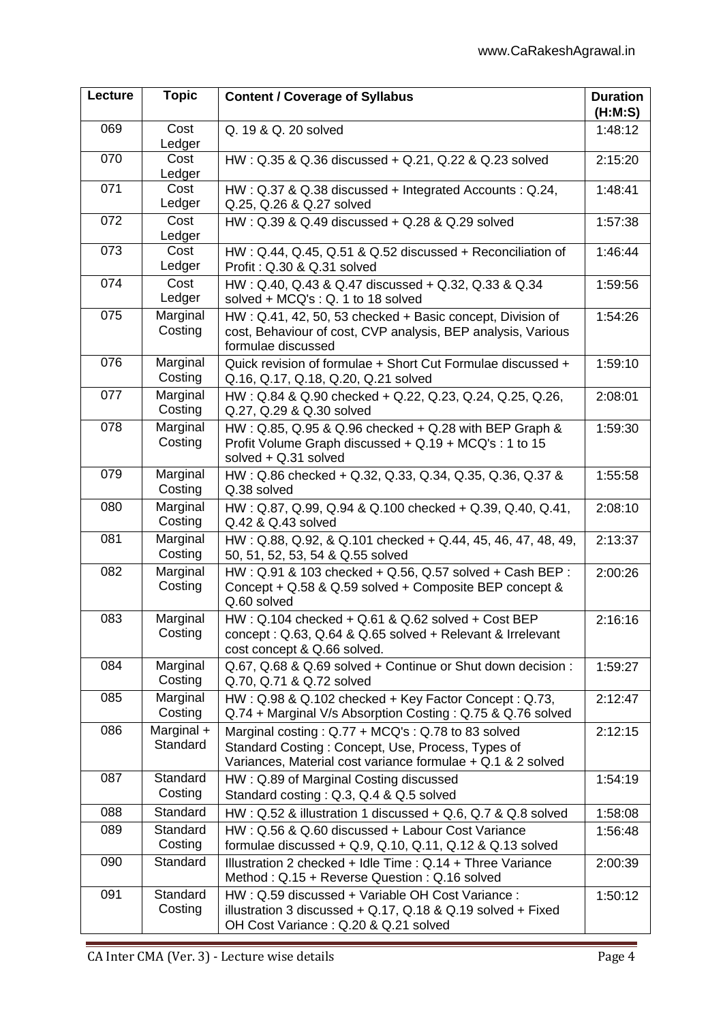| Lecture | <b>Topic</b>           | <b>Content / Coverage of Syllabus</b>                                                                                                                                      | <b>Duration</b><br>(H:M:S) |
|---------|------------------------|----------------------------------------------------------------------------------------------------------------------------------------------------------------------------|----------------------------|
| 069     | Cost<br>Ledger         | Q. 19 & Q. 20 solved                                                                                                                                                       | 1:48:12                    |
| 070     | Cost<br>Ledger         | HW: Q.35 & Q.36 discussed + Q.21, Q.22 & Q.23 solved                                                                                                                       | 2:15:20                    |
| 071     | Cost<br>Ledger         | HW: Q.37 & Q.38 discussed + Integrated Accounts: Q.24,<br>Q.25, Q.26 & Q.27 solved                                                                                         | 1:48:41                    |
| 072     | Cost<br>Ledger         | HW: Q.39 & Q.49 discussed + Q.28 & Q.29 solved                                                                                                                             | 1:57:38                    |
| 073     | Cost<br>Ledger         | HW: Q.44, Q.45, Q.51 & Q.52 discussed + Reconciliation of<br>Profit: Q.30 & Q.31 solved                                                                                    | 1:46:44                    |
| 074     | Cost<br>Ledger         | HW: Q.40, Q.43 & Q.47 discussed + Q.32, Q.33 & Q.34<br>solved + MCQ's : Q. 1 to 18 solved                                                                                  | 1:59:56                    |
| 075     | Marginal<br>Costing    | HW: Q.41, 42, 50, 53 checked + Basic concept, Division of<br>cost, Behaviour of cost, CVP analysis, BEP analysis, Various<br>formulae discussed                            | 1:54:26                    |
| 076     | Marginal<br>Costing    | Quick revision of formulae + Short Cut Formulae discussed +<br>Q.16, Q.17, Q.18, Q.20, Q.21 solved                                                                         | 1:59:10                    |
| 077     | Marginal<br>Costing    | HW: Q.84 & Q.90 checked + Q.22, Q.23, Q.24, Q.25, Q.26,<br>Q.27, Q.29 & Q.30 solved                                                                                        | 2:08:01                    |
| 078     | Marginal<br>Costing    | HW: Q.85, Q.95 & Q.96 checked + Q.28 with BEP Graph &<br>Profit Volume Graph discussed + Q.19 + MCQ's : 1 to 15<br>solved + Q.31 solved                                    | 1:59:30                    |
| 079     | Marginal<br>Costing    | HW: Q.86 checked + Q.32, Q.33, Q.34, Q.35, Q.36, Q.37 &<br>Q.38 solved                                                                                                     | 1:55:58                    |
| 080     | Marginal<br>Costing    | HW: Q.87, Q.99, Q.94 & Q.100 checked + Q.39, Q.40, Q.41,<br>Q.42 & Q.43 solved                                                                                             | 2:08:10                    |
| 081     | Marginal<br>Costing    | HW: Q.88, Q.92, & Q.101 checked + Q.44, 45, 46, 47, 48, 49,<br>50, 51, 52, 53, 54 & Q.55 solved                                                                            | 2:13:37                    |
| 082     | Marginal<br>Costing    | HW: Q.91 & 103 checked + Q.56, Q.57 solved + Cash BEP:<br>Concept + Q.58 & Q.59 solved + Composite BEP concept &<br>Q.60 solved                                            | 2:00:26                    |
| 083     | Marginal<br>Costing    | HW: Q.104 checked + Q.61 & Q.62 solved + Cost BEP<br>concept: Q.63, Q.64 & Q.65 solved + Relevant & Irrelevant<br>cost concept & Q.66 solved.                              | 2:16:16                    |
| 084     | Marginal<br>Costing    | Q.67, Q.68 & Q.69 solved + Continue or Shut down decision:<br>Q.70, Q.71 & Q.72 solved                                                                                     | 1:59:27                    |
| 085     | Marginal<br>Costing    | HW: Q.98 & Q.102 checked + Key Factor Concept: Q.73,<br>Q.74 + Marginal V/s Absorption Costing: Q.75 & Q.76 solved                                                         | 2:12:47                    |
| 086     | Marginal +<br>Standard | Marginal costing: $Q.77 + MCQ$ 's: $Q.78$ to 83 solved<br>Standard Costing: Concept, Use, Process, Types of<br>Variances, Material cost variance formulae + Q.1 & 2 solved | 2:12:15                    |
| 087     | Standard<br>Costing    | HW: Q.89 of Marginal Costing discussed<br>Standard costing: Q.3, Q.4 & Q.5 solved                                                                                          | 1:54:19                    |
| 088     | Standard               | HW: $Q.52$ & illustration 1 discussed + $Q.6$ , $Q.7$ & $Q.8$ solved                                                                                                       | 1:58:08                    |
| 089     | Standard<br>Costing    | HW: Q.56 & Q.60 discussed + Labour Cost Variance<br>formulae discussed $+$ Q.9, Q.10, Q.11, Q.12 & Q.13 solved                                                             | 1:56:48                    |
| 090     | Standard               | Illustration 2 checked + Idle Time: Q.14 + Three Variance<br>Method: Q.15 + Reverse Question: Q.16 solved                                                                  | 2:00:39                    |
| 091     | Standard<br>Costing    | HW: Q.59 discussed + Variable OH Cost Variance:<br>illustration 3 discussed + Q.17, Q.18 & Q.19 solved + Fixed<br>OH Cost Variance: Q.20 & Q.21 solved                     | 1:50:12                    |